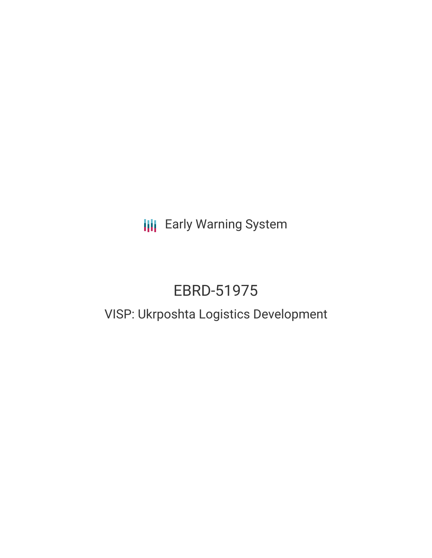## **III** Early Warning System

# EBRD-51975

### VISP: Ukrposhta Logistics Development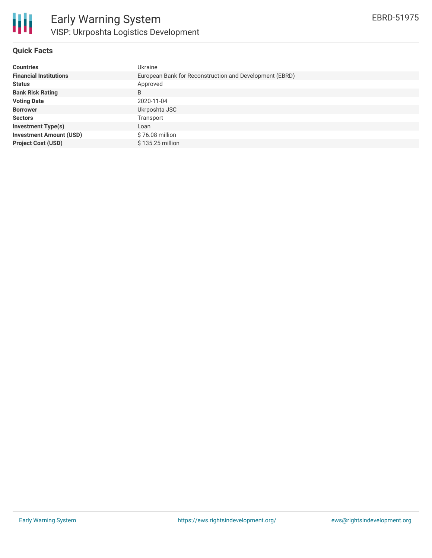

#### **Quick Facts**

| <b>Countries</b>               | Ukraine                                                 |
|--------------------------------|---------------------------------------------------------|
| <b>Financial Institutions</b>  | European Bank for Reconstruction and Development (EBRD) |
| <b>Status</b>                  | Approved                                                |
| <b>Bank Risk Rating</b>        | B                                                       |
| <b>Voting Date</b>             | 2020-11-04                                              |
| <b>Borrower</b>                | Ukrposhta JSC                                           |
| <b>Sectors</b>                 | Transport                                               |
| <b>Investment Type(s)</b>      | Loan                                                    |
| <b>Investment Amount (USD)</b> | \$76.08 million                                         |
| <b>Project Cost (USD)</b>      | \$135.25 million                                        |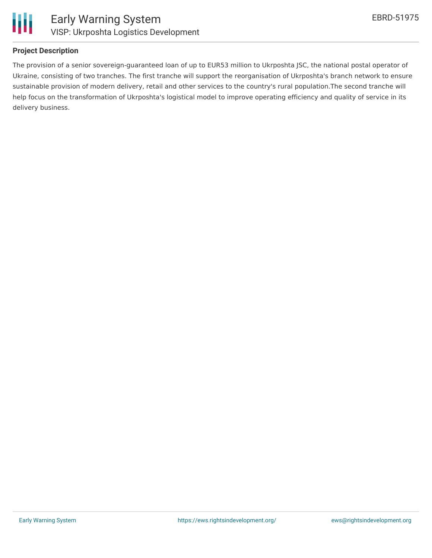

#### **Project Description**

The provision of a senior sovereign-guaranteed loan of up to EUR53 million to Ukrposhta JSC, the national postal operator of Ukraine, consisting of two tranches. The first tranche will support the reorganisation of Ukrposhta's branch network to ensure sustainable provision of modern delivery, retail and other services to the country's rural population.The second tranche will help focus on the transformation of Ukrposhta's logistical model to improve operating efficiency and quality of service in its delivery business.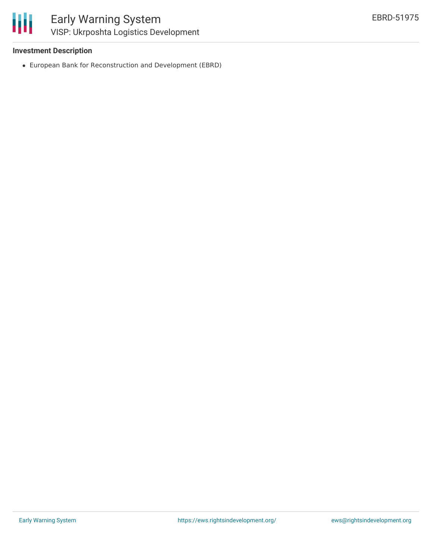#### **Investment Description**

European Bank for Reconstruction and Development (EBRD)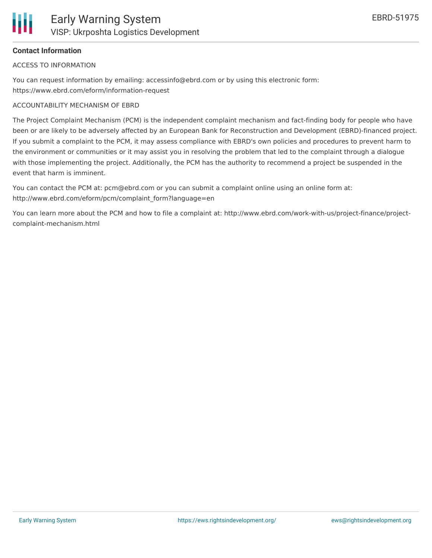#### **Contact Information**

ACCESS TO INFORMATION

You can request information by emailing: accessinfo@ebrd.com or by using this electronic form: https://www.ebrd.com/eform/information-request

#### ACCOUNTABILITY MECHANISM OF EBRD

The Project Complaint Mechanism (PCM) is the independent complaint mechanism and fact-finding body for people who have been or are likely to be adversely affected by an European Bank for Reconstruction and Development (EBRD)-financed project. If you submit a complaint to the PCM, it may assess compliance with EBRD's own policies and procedures to prevent harm to the environment or communities or it may assist you in resolving the problem that led to the complaint through a dialogue with those implementing the project. Additionally, the PCM has the authority to recommend a project be suspended in the event that harm is imminent.

You can contact the PCM at: pcm@ebrd.com or you can submit a complaint online using an online form at: http://www.ebrd.com/eform/pcm/complaint\_form?language=en

You can learn more about the PCM and how to file a complaint at: http://www.ebrd.com/work-with-us/project-finance/projectcomplaint-mechanism.html